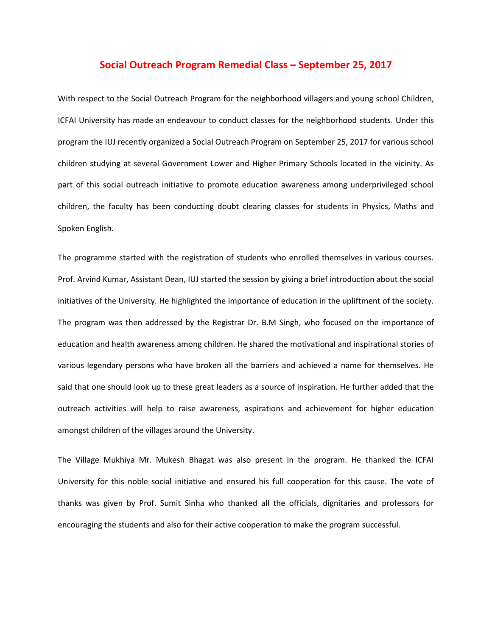## **Social Outreach Program Remedial Class – September 25, 2017**

With respect to the Social Outreach Program for the neighborhood villagers and young school Children, ICFAI University has made an endeavour to conduct classes for the neighborhood students. Under this program the IUJ recently organized a Social Outreach Program on September 25, 2017 for various school children studying at several Government Lower and Higher Primary Schools located in the vicinity. As part of this social outreach initiative to promote education awareness among underprivileged school children, the faculty has been conducting doubt clearing classes for students in Physics, Maths and Spoken English.

The programme started with the registration of students who enrolled themselves in various courses. Prof. Arvind Kumar, Assistant Dean, IUJ started the session by giving a brief introduction about the social initiatives of the University. He highlighted the importance of education in the upliftment of the society. The program was then addressed by the Registrar Dr. B.M Singh, who focused on the importance of education and health awareness among children. He shared the motivational and inspirational stories of various legendary persons who have broken all the barriers and achieved a name for themselves. He said that one should look up to these great leaders as a source of inspiration. He further added that the outreach activities will help to raise awareness, aspirations and achievement for higher education amongst children of the villages around the University.

The Village Mukhiya Mr. Mukesh Bhagat was also present in the program. He thanked the ICFAI University for this noble social initiative and ensured his full cooperation for this cause. The vote of thanks was given by Prof. Sumit Sinha who thanked all the officials, dignitaries and professors for encouraging the students and also for their active cooperation to make the program successful.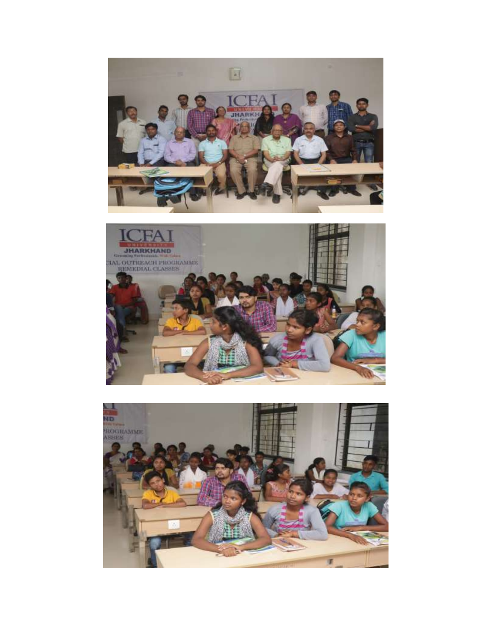



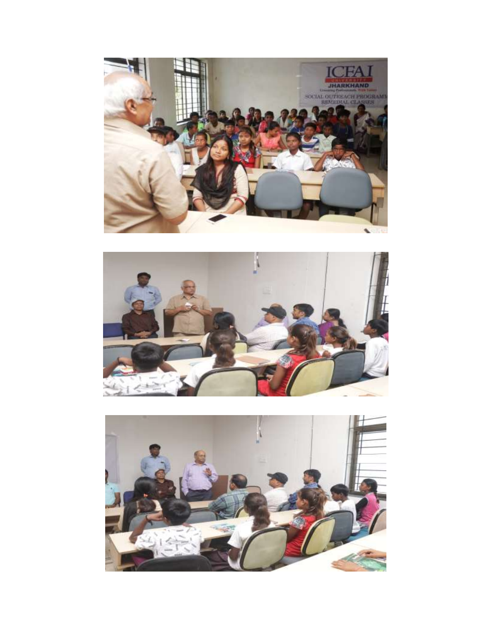